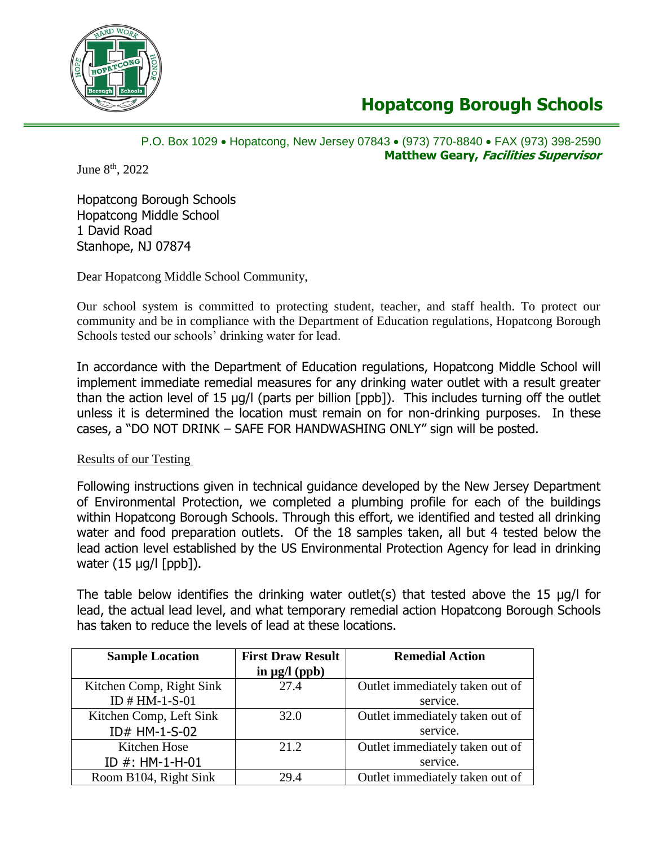

# **Hopatcong Borough Schools**

# P.O. Box 1029 • Hopatcong, New Jersey 07843 • (973) 770-8840 • FAX (973) 398-2590 **Matthew Geary, Facilities Supervisor**

June 8<sup>th</sup>, 2022

Hopatcong Borough Schools Hopatcong Middle School 1 David Road Stanhope, NJ 07874

Dear Hopatcong Middle School Community,

Our school system is committed to protecting student, teacher, and staff health. To protect our community and be in compliance with the Department of Education regulations, Hopatcong Borough Schools tested our schools' drinking water for lead.

In accordance with the Department of Education regulations, Hopatcong Middle School will implement immediate remedial measures for any drinking water outlet with a result greater than the action level of 15 µg/l (parts per billion [ppb]). This includes turning off the outlet unless it is determined the location must remain on for non-drinking purposes. In these cases, a "DO NOT DRINK – SAFE FOR HANDWASHING ONLY" sign will be posted.

Results of our Testing

Following instructions given in technical guidance developed by the New Jersey Department of Environmental Protection, we completed a plumbing profile for each of the buildings within Hopatcong Borough Schools. Through this effort, we identified and tested all drinking water and food preparation outlets. Of the 18 samples taken, all but 4 tested below the lead action level established by the US Environmental Protection Agency for lead in drinking water  $(15 \mu q / l \text{ [ppb]}).$ 

The table below identifies the drinking water outlet(s) that tested above the 15 µg/l for lead, the actual lead level, and what temporary remedial action Hopatcong Borough Schools has taken to reduce the levels of lead at these locations.

| <b>Sample Location</b>   | <b>First Draw Result</b> | <b>Remedial Action</b>          |
|--------------------------|--------------------------|---------------------------------|
|                          | in $\mu$ g/l (ppb)       |                                 |
| Kitchen Comp, Right Sink | 27.4                     | Outlet immediately taken out of |
| ID $#HM-1-S-01$          |                          | service.                        |
| Kitchen Comp, Left Sink  | 32.0                     | Outlet immediately taken out of |
| ID# HM-1-S-02            |                          | service.                        |
| Kitchen Hose             | 21.2                     | Outlet immediately taken out of |
| ID $#$ : HM-1-H-01       |                          | service.                        |
| Room B104, Right Sink    | 29.4                     | Outlet immediately taken out of |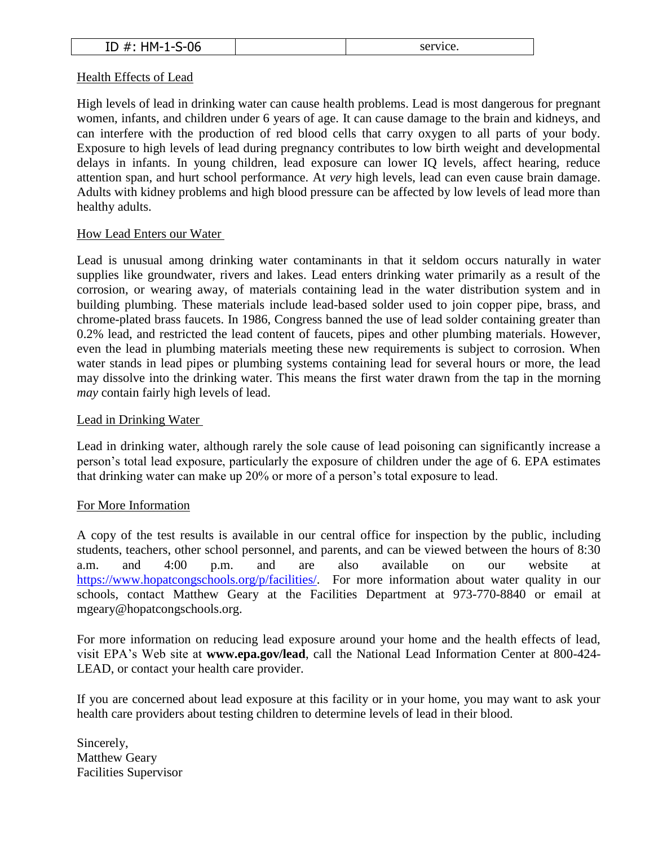| በር<br>۱M<br>. .<br>-<br>υυ<br>ᆚ<br>. .<br>. | CPTV1CP<br>o.<br>w. |
|---------------------------------------------|---------------------|
|---------------------------------------------|---------------------|

### Health Effects of Lead

High levels of lead in drinking water can cause health problems. Lead is most dangerous for pregnant women, infants, and children under 6 years of age. It can cause damage to the brain and kidneys, and can interfere with the production of red blood cells that carry oxygen to all parts of your body. Exposure to high levels of lead during pregnancy contributes to low birth weight and developmental delays in infants. In young children, lead exposure can lower IQ levels, affect hearing, reduce attention span, and hurt school performance. At *very* high levels, lead can even cause brain damage. Adults with kidney problems and high blood pressure can be affected by low levels of lead more than healthy adults.

## How Lead Enters our Water

Lead is unusual among drinking water contaminants in that it seldom occurs naturally in water supplies like groundwater, rivers and lakes. Lead enters drinking water primarily as a result of the corrosion, or wearing away, of materials containing lead in the water distribution system and in building plumbing. These materials include lead-based solder used to join copper pipe, brass, and chrome-plated brass faucets. In 1986, Congress banned the use of lead solder containing greater than 0.2% lead, and restricted the lead content of faucets, pipes and other plumbing materials. However, even the lead in plumbing materials meeting these new requirements is subject to corrosion. When water stands in lead pipes or plumbing systems containing lead for several hours or more, the lead may dissolve into the drinking water. This means the first water drawn from the tap in the morning *may* contain fairly high levels of lead.

## Lead in Drinking Water

Lead in drinking water, although rarely the sole cause of lead poisoning can significantly increase a person's total lead exposure, particularly the exposure of children under the age of 6. EPA estimates that drinking water can make up 20% or more of a person's total exposure to lead.

# For More Information

A copy of the test results is available in our central office for inspection by the public, including students, teachers, other school personnel, and parents, and can be viewed between the hours of 8:30 a.m. and 4:00 p.m. and are also available on our website at [https://www.hopatcongschools.org/p/facilities/.](https://www.hopatcongschools.org/p/facilities/) For more information about water quality in our schools, contact Matthew Geary at the Facilities Department at 973-770-8840 or email at mgeary@hopatcongschools.org.

For more information on reducing lead exposure around your home and the health effects of lead, visit EPA's Web site at **www.epa.gov/lead**, call the National Lead Information Center at 800-424- LEAD, or contact your health care provider.

If you are concerned about lead exposure at this facility or in your home, you may want to ask your health care providers about testing children to determine levels of lead in their blood.

Sincerely, Matthew Geary Facilities Supervisor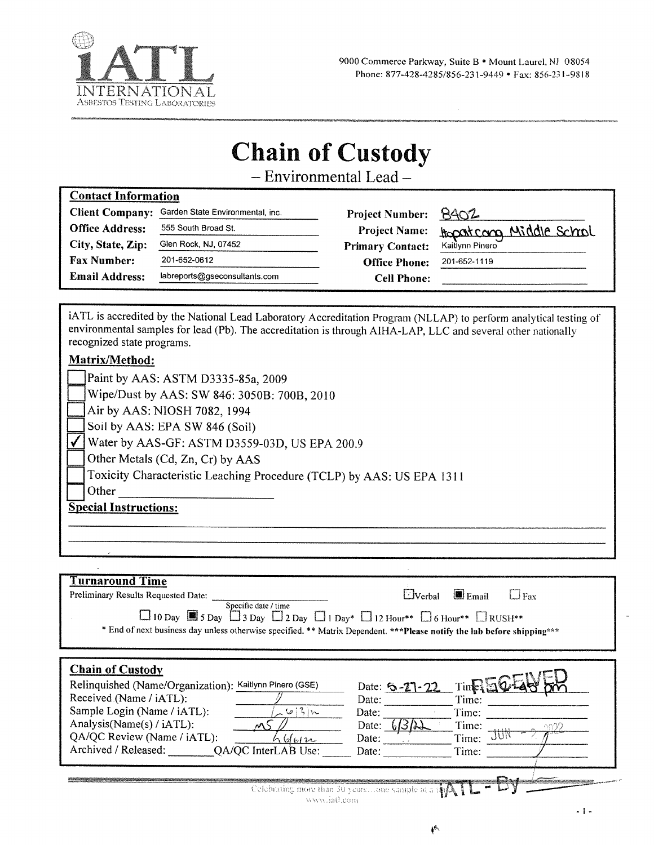

# **Chain of Custody**

- Environmental Lead -

| <b>Contact Information</b> |  |  |                                                                                                                                             |
|----------------------------|--|--|---------------------------------------------------------------------------------------------------------------------------------------------|
| $\sim$                     |  |  | $\mathcal{L}$ and $\mathcal{L}$ and $\mathcal{L}$ and $\mathcal{L}$ and $\mathcal{L}$ and $\mathcal{L}$ and $\mathcal{L}$ and $\mathcal{L}$ |

| <b>Client Company:</b> | Garden State Environmental, inc. | Project Number: 8402    |                         |
|------------------------|----------------------------------|-------------------------|-------------------------|
| <b>Office Address:</b> | 555 South Broad St.              | <b>Project Name:</b>    | Hopatcong Middle Schrol |
| City, State, Zip:      | Glen Rock, NJ, 07452             | <b>Primary Contact:</b> | Kaitlynn Pinero         |
| <b>Fax Number:</b>     | 201-652-0612                     | <b>Office Phone:</b>    | 201-652-1119            |
| <b>Email Address:</b>  | labreports@gseconsultants.com    | <b>Cell Phone:</b>      |                         |

iATL is accredited by the National Lead Laboratory Accreditation Program (NLLAP) to perform analytical testing of environmental samples for lead (Pb). The accreditation is through AIHA-LAP, LLC and several other nationally recognized state programs.

## Matrix/Method:

 $\overline{a}$ 

| Paint by AAS: ASTM D3335-85a, 2009                                    |
|-----------------------------------------------------------------------|
| Wipe/Dust by AAS: SW 846: 3050B: 700B, 2010                           |
| $\Box$ Air by AAS: NIOSH 7082, 1994                                   |
| Soil by AAS: EPA SW 846 (Soil)                                        |
| Water by AAS-GF: ASTM D3559-03D, US EPA 200.9                         |
| Other Metals (Cd, Zn, Cr) by AAS                                      |
| Toxicity Characteristic Leaching Procedure (TCLP) by AAS: US EPA 1311 |
| Other                                                                 |
| <b>Special Instructions:</b>                                          |
|                                                                       |

| $\Box$ 10 Day $\Box$ 5 Day $\Box$ 3 Day $\Box$ 2 Day $\Box$ 1 Day* $\Box$ 12 Hour** $\Box$ 6 Hour** $\Box$ RUSH**<br>* End of next business day unless otherwise specified. ** Matrix Dependent. *** Please notify the lab before shipping*** |
|-----------------------------------------------------------------------------------------------------------------------------------------------------------------------------------------------------------------------------------------------|
| Time EK<br>Date: $5 - 27 - 22$<br>Time:<br>Date:<br>Time:<br>Date:<br>Time:<br>Date:<br>نہ) ک<br>Time:<br>Date:<br>Time:<br>Date:                                                                                                             |
|                                                                                                                                                                                                                                               |

 $\sim 1$  -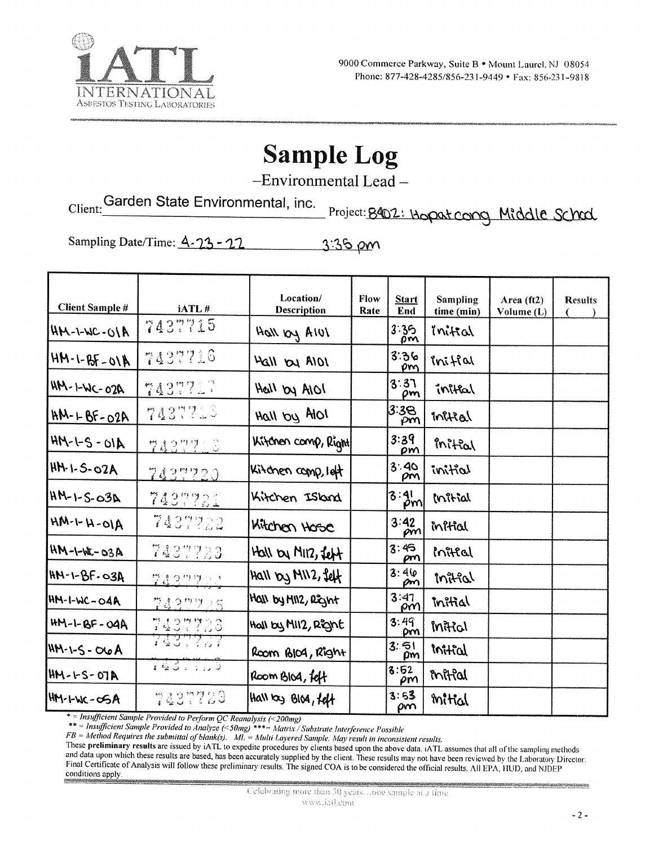

# **Sample Log**

-Environmental Lead-

Client: Garden State Environmental, inc.

Project: 8402: Hopat cong Middle Schod

Sampling Date/Time: 4-23-22 3:35 pm

| <b>Client Sample #</b> | iATL#      | Location/<br><b>Description</b> | Flow<br>Rate | <b>Start</b><br>End | <b>Sampling</b><br>time (min) | Area (ft2)<br>Volume (L) | <b>Results</b> |
|------------------------|------------|---------------------------------|--------------|---------------------|-------------------------------|--------------------------|----------------|
| $ANO-1-MC-01A$         | 7437715    | Hall by AIUI                    |              | 3:35<br>om          | inital                        |                          |                |
| $MN-1-BF-01N$          | 7437716    | Hall by AIDI                    |              | 3:36<br>om          | inifial                       |                          |                |
| $HM - LWC - O2A$       | 7437717    | Hall by AIOI                    |              | 3:37<br>pm          | inital                        |                          |                |
| $HM - LBF - O2A$       | 7437710    | Hall by Alol                    |              | 3:38<br>ρm          | initial                       |                          |                |
| $AN-1-S-ON$            | 7437713    | Kitchen comp, Right             |              | 3:39<br>om          | initial                       |                          |                |
| HM-1-5-02A             | 7437720    | Kitchen comp, left              |              | 3:40<br>ρm          | initial                       |                          |                |
| $HM-1-S-03A$           | $743\%221$ | Kitchen Island                  |              | 3:3!                | Initial                       |                          |                |
| $AM-H-H-MH$            | 7437722    | Kitchen Hose                    |              | 3:42<br>pm          | initial                       |                          |                |
| $HM - 1 - k - 03A$     | 7437723    | Hall by MIR, felt               |              | 3:45<br>ρm          | inital                        |                          |                |
| $HR - 1 - BF - O3A$    | 7422222    | Hall by MII2, feft              |              | 3:46<br>om          | initial                       |                          |                |
| $AM-1-WC-O4A$          | 学識2型学少年    | HOLL by MIL2, REGINT            |              | 3:47<br>pΜ          | mitial                        |                          |                |
| $HM - L - BF - O4A$    | 7437726    | Hall by MII2, Right             |              | 3:49<br>DM          | mitial                        |                          |                |
| $AM - 5 - O6A$         | 74337.07   | Room BIOA, Right                |              | 3:51<br>$\rho$ m    | initial                       |                          |                |
| HM-1-S-07A             | 143.77.5   | Room Blog, felt                 |              | 3:52<br>ρm          | mitial                        |                          |                |
| HM-LWC-OSA             | 7437729    | Hall by Blog, felt              |              | 3:53<br>pm          | mitial                        |                          |                |

\* = Insufficient Sample Provided to Perform QC Reanalysis (<200mg)<br>\*\* = Insufficient Sample Provided to Analyze (<50mg) \*\*\*= Matrix / Substrate Interference Possible<br>FB = Method Requires the submittal of blank(s). ML = Mul

These preliminary results are issued by iATL to expedite procedures by clients based upon the above data. iATL assumes that all of the sampling methods and data upon which these results are based, has been accurately supplied by the client. These results may not have been reviewed by the Laboratory Director. Final Certificate of Analysis will follow these preliminary results. The signed COA is to be considered the official results. All EPA, HUD, and NJDEP conditions apply.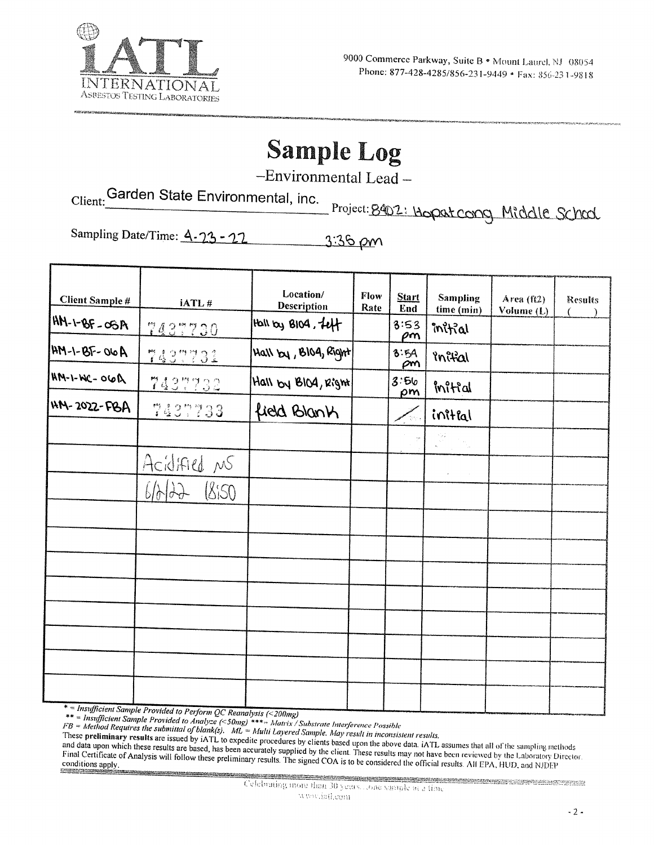

# **Sample Log**

-Environmental Lead-

Client: Garden State Environmental, inc. Project: 8402: Hopat cong Middle School

Sampling Date/Time: 4-23-27 3:36 pm

| <b>Client Sample #</b> | iATL#         | Location/<br><b>Description</b> | Flow<br>Rate | <b>Start</b><br>End | Sampling<br>time (min)                                                                                                            | Area (ft2)<br>Volume (L) | <b>Results</b> |
|------------------------|---------------|---------------------------------|--------------|---------------------|-----------------------------------------------------------------------------------------------------------------------------------|--------------------------|----------------|
| $AB = -99 - 141$       | 7437730       | HOII by BIOG, $f_{eff}$         |              | 3:53<br>ρm          | initial                                                                                                                           |                          |                |
| $AM - 1 - BY - O6A$    | 7437731       | $ $ Hall $ y $ , BIO4, Right    |              | 8.54<br>$\rho m$    | inital                                                                                                                            |                          |                |
| $AN-1-M-1-M$           | 7437732       | Hall by BIO4, Right             |              | 3.56<br>pm          | mitial                                                                                                                            |                          |                |
| HM-2022-FBA            | 7437733       | field Blank                     |              |                     | initial                                                                                                                           |                          |                |
|                        |               |                                 |              |                     | $\begin{bmatrix} \mathcal{Q}_\mathbf{r} \\ \mathcal{Q}_\mathbf{r} \end{bmatrix} = \mathcal{Q}_{\mathbf{q}_\mathbf{r},\mathbf{r}}$ |                          |                |
|                        | Acidified NS  |                                 |              |                     | $\mathbf{z} = \mathbf{z} \times \mathbf{z}$                                                                                       |                          |                |
|                        | 850<br>6/6/22 |                                 |              |                     |                                                                                                                                   |                          |                |
|                        |               |                                 |              |                     |                                                                                                                                   |                          |                |
|                        |               |                                 |              |                     |                                                                                                                                   |                          |                |
|                        |               |                                 |              |                     |                                                                                                                                   |                          |                |
|                        |               |                                 |              |                     |                                                                                                                                   |                          |                |
|                        |               |                                 |              |                     |                                                                                                                                   |                          |                |
|                        |               |                                 |              |                     |                                                                                                                                   |                          |                |
|                        |               |                                 |              |                     |                                                                                                                                   |                          |                |
| $* = 1, , Cn$          |               |                                 |              |                     |                                                                                                                                   |                          |                |

\* = Insufficient Sample Provided to Perform QC Reanalysis (<200mg)<br>\*\* = Insufficient Sample Provided to Analyze (<50mg) \*\*\*= Matrix / Substrate Interference Possible<br>FB = Method Requires the submittal of blank(s). ML = Mu

These preliminary results are issued by iATL to expedite procedures by clients based upon the above data. iATL assumes that all of the sampling methods and data upon which these results are based, has been accurately supplied by the client. These results may not have been reviewed by the Laboratory Director. Final Certificate of Analysis will follow these preliminary results. The signed COA is to be considered the official results. All EPA, HUD, and NJDEP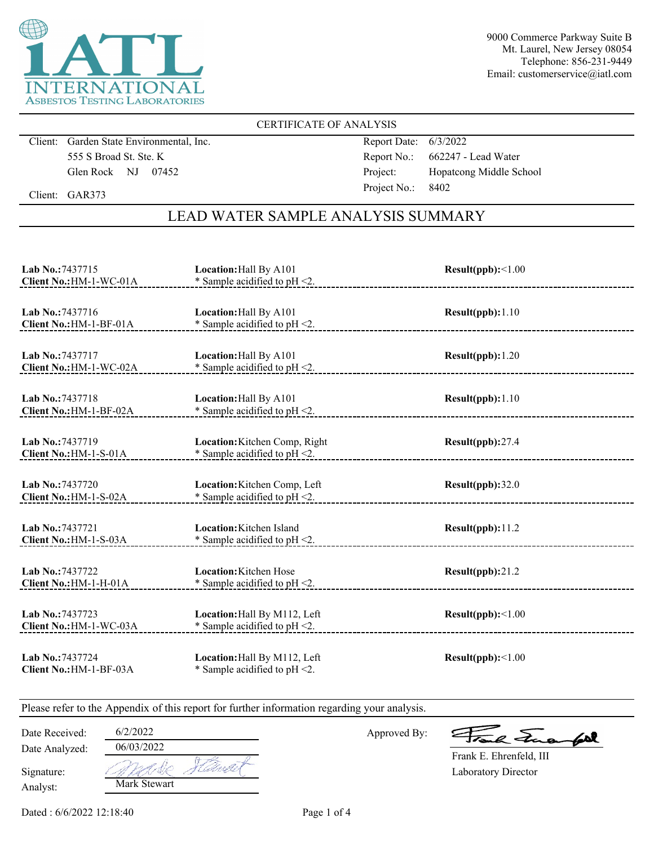

9000 Commerce Parkway Suite B Mt. Laurel, New Jersey 08054 Telephone: 856-231-9449 Email: customerservice@iatl.com

#### CERTIFICATE OF ANALYSIS

Client: Garden State Environmental, Inc. 555 S Broad St. Ste. K Glen Rock NJ 07452

Report Date: 6/3/2022 Report No.: 662247 - Lead Water Project: Hopatcong Middle School Project No.: 8402

Client: GAR373

# LEAD WATER SAMPLE ANALYSIS SUMMARY

| Lab No.: 7437715                            | Location: Hall By A101                                            | Result(ppb):<1.00 |
|---------------------------------------------|-------------------------------------------------------------------|-------------------|
| Client No.: HM-1-WC-01A                     | $*$ Sample acidified to pH <2.                                    |                   |
| Lab No.: 7437716                            | Location: Hall By A101                                            | Result(ppb): 1.10 |
| Client No.: HM-1-BF-01A                     | * Sample acidified to $pH < 2$ .                                  |                   |
| Lab No.: 7437717                            | Location: Hall By A101                                            | Result(ppb): 1.20 |
| Client No.: HM-1-WC-02A                     | $*$ Sample acidified to pH $\leq$ 2.                              |                   |
| Lab No.: 7437718                            | Location: Hall By A101                                            | Result(ppb): 1.10 |
| Client No.: HM-1-BF-02A                     | * Sample acidified to $pH < 2$ .                                  |                   |
| Lab No.: 7437719                            | Location: Kitchen Comp, Right                                     | Result(ppb):27.4  |
| Client No.: HM-1-S-01A                      | * Sample acidified to $pH < 2$ .                                  |                   |
| Lab No.: 7437720                            | Location: Kitchen Comp, Left                                      | Result(ppb):32.0  |
| Client No.: HM-1-S-02A                      | * Sample acidified to pH <2.                                      |                   |
| Lab No.: 7437721<br>Client No.: HM-1-S-03A  | Location: Kitchen Island<br>* Sample acidified to $pH < 2$ .      | Result(ppb):11.2  |
| Lab No.: 7437722<br>Client No.: HM-1-H-01A  | <b>Location:</b> Kitchen Hose<br>* Sample acidified to $pH < 2$ . | Result(ppb):21.2  |
| Lab No.: 7437723<br>Client No.: HM-1-WC-03A | Location: Hall By M112, Left<br>* Sample acidified to $pH < 2$ .  | Result(ppb):<1.00 |
| Lab No.: 7437724<br>Client No.: HM-1-BF-03A | Location: Hall By M112, Left<br>* Sample acidified to $pH < 2$ .  | Result(ppb):<1.00 |

Please refer to the Appendix of this report for further information regarding your analysis.

Date Analyzed: Date Received: 6/2/2022

Approved By:

a Juan fall

Laboratory Director Frank E. Ehrenfeld, III

Analyst: Signature:

Mark Stewart 06/03/2022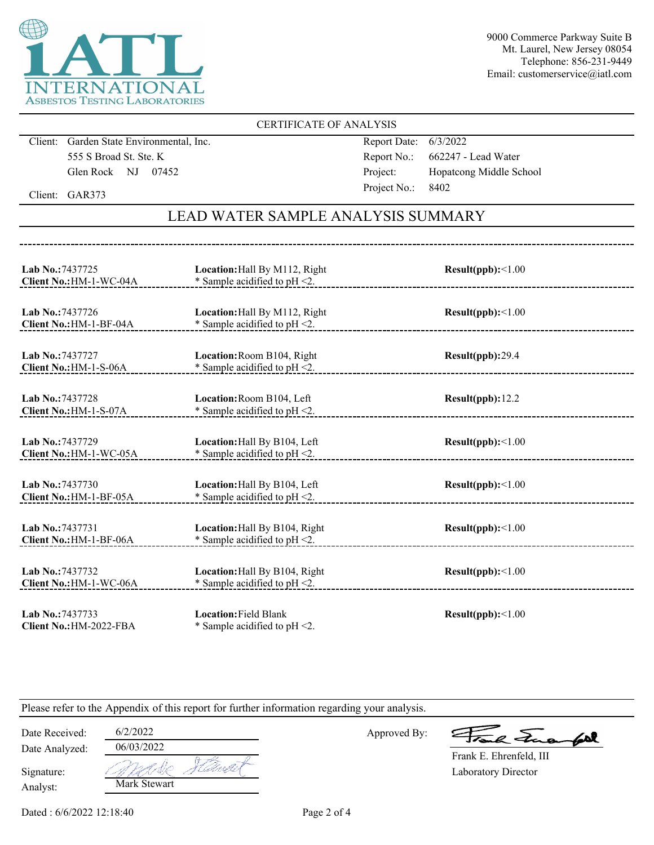

9000 Commerce Parkway Suite B Mt. Laurel, New Jersey 08054 Telephone: 856-231-9449 Email: customerservice@iatl.com

#### CERTIFICATE OF ANALYSIS

Client: Garden State Environmental, Inc. 555 S Broad St. Ste. K Glen Rock NJ 07452

Report Date: 6/3/2022 Report No.: 662247 - Lead Water Project: Hopatcong Middle School Project No.: 8402

Client: GAR373

# LEAD WATER SAMPLE ANALYSIS SUMMARY

| Lab No.: 7437725<br>Client No.: HM-1-WC-04A | Location: Hall By M112, Right<br>* Sample acidified to $pH < 2$ . | Result(ppb):<1.00        |
|---------------------------------------------|-------------------------------------------------------------------|--------------------------|
| Lab No.: 7437726<br>Client No.: HM-1-BF-04A | Location: Hall By M112, Right<br>* Sample acidified to $pH < 2$ . | Result(ppb):<1.00        |
| Lab No.: 7437727<br>Client No.: HM-1-S-06A  | Location: Room B104, Right<br>* Sample acidified to pH <2.        | Result(ppb):29.4         |
| Lab No.: 7437728<br>Client No.: HM-1-S-07A  | Location: Room B104, Left<br>* Sample acidified to $pH < 2$ .     | Result(ppb): 12.2        |
| Lab No.: 7437729<br>Client No.: HM-1-WC-05A | Location: Hall By B104, Left<br>* Sample acidified to pH <2.      | Result(ppb):<1.00        |
| Lab No.: 7437730<br>Client No.: HM-1-BF-05A | Location: Hall By B104, Left<br>* Sample acidified to $pH < 2$ .  | $Result(ppb): \leq 1.00$ |
| Lab No.: 7437731<br>Client No.: HM-1-BF-06A | Location: Hall By B104, Right<br>* Sample acidified to $pH < 2$ . | $Result(ppb): \leq 1.00$ |
| Lab No.: 7437732<br>Client No.: HM-1-WC-06A | Location: Hall By B104, Right<br>* Sample acidified to $pH < 2$ . | Result(ppb):<1.00        |
| Lab No.: 7437733<br>Client No.: HM-2022-FBA | <b>Location: Field Blank</b><br>* Sample acidified to $pH < 2$ .  | Result(ppb):<1.00        |

Please refer to the Appendix of this report for further information regarding your analysis.

Date Analyzed: Date Received: 6/2/2022

Analyst:

Signature:

| . . <i>.</i> |  |
|--------------|--|
| 06/03/2022   |  |
|              |  |
| Mark Stewart |  |

Approved By:

a Jua fol

Laboratory Director Frank E. Ehrenfeld, III

Dated : 6/6/2022 12:18:40 Page 2 of 4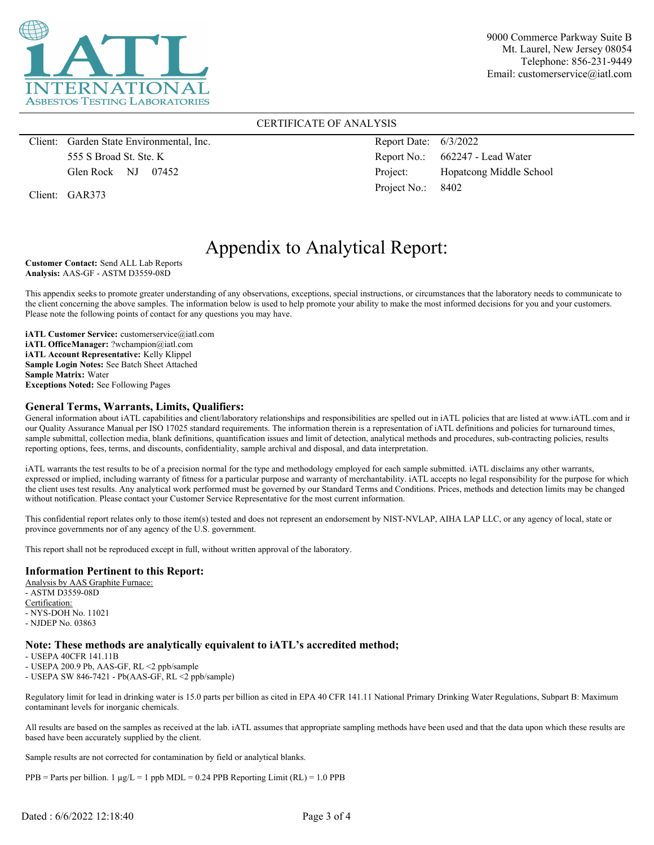

9000 Commerce Parkway Suite B Mt. Laurel, New Jersey 08054 Telephone: 856-231-9449 Email: customerservice@iatl.com

#### CERTIFICATE OF ANALYSIS

Client: Garden State Environmental, Inc. 555 S Broad St. Ste. K Glen Rock NJ 07452

Client: GAR373

Report Date: 6/3/2022 Report No.: 662247 - Lead Water Project: Hopatcong Middle School Project No.: 8402

# Appendix to Analytical Report:

**Customer Contact:** Send ALL Lab Reports **Analysis:** AAS-GF - ASTM D3559-08D

This appendix seeks to promote greater understanding of any observations, exceptions, special instructions, or circumstances that the laboratory needs to communicate to the client concerning the above samples. The information below is used to help promote your ability to make the most informed decisions for you and your customers. Please note the following points of contact for any questions you may have.

**iATL Customer Service:** customerservice@iatl.com **iATL OfficeManager:** ?wchampion@iatl.com **iATL Account Representative:** Kelly Klippel **Sample Login Notes:** See Batch Sheet Attached **Sample Matrix:** Water **Exceptions Noted:** See Following Pages

#### **General Terms, Warrants, Limits, Qualifiers:**

General information about iATL capabilities and client/laboratory relationships and responsibilities are spelled out in iATL policies that are listed at www.iATL.com and in our Quality Assurance Manual per ISO 17025 standard requirements. The information therein is a representation of iATL definitions and policies for turnaround times, sample submittal, collection media, blank definitions, quantification issues and limit of detection, analytical methods and procedures, sub-contracting policies, results reporting options, fees, terms, and discounts, confidentiality, sample archival and disposal, and data interpretation.

iATL warrants the test results to be of a precision normal for the type and methodology employed for each sample submitted. iATL disclaims any other warrants, expressed or implied, including warranty of fitness for a particular purpose and warranty of merchantability. iATL accepts no legal responsibility for the purpose for which the client uses test results. Any analytical work performed must be governed by our Standard Terms and Conditions. Prices, methods and detection limits may be changed without notification. Please contact your Customer Service Representative for the most current information.

This confidential report relates only to those item(s) tested and does not represent an endorsement by NIST-NVLAP, AIHA LAP LLC, or any agency of local, state or province governments nor of any agency of the U.S. government.

This report shall not be reproduced except in full, without written approval of the laboratory.

#### **Information Pertinent to this Report:**

Analysis by AAS Graphite Furnace: - ASTM D3559-08D Certification: - NYS-DOH No. 11021 - NJDEP No. 03863

#### **Note: These methods are analytically equivalent to iATL's accredited method;**

- USEPA 40CFR 141.11B

- USEPA 200.9 Pb, AAS-GF, RL <2 ppb/sample

- USEPA SW 846-7421 - Pb(AAS-GF, RL <2 ppb/sample)

Regulatory limit for lead in drinking water is 15.0 parts per billion as cited in EPA 40 CFR 141.11 National Primary Drinking Water Regulations, Subpart B: Maximum contaminant levels for inorganic chemicals.

All results are based on the samples as received at the lab. iATL assumes that appropriate sampling methods have been used and that the data upon which these results are based have been accurately supplied by the client.

Sample results are not corrected for contamination by field or analytical blanks.

PPB = Parts per billion. 1  $\mu$ g/L = 1 ppb MDL = 0.24 PPB Reporting Limit (RL) = 1.0 PPB